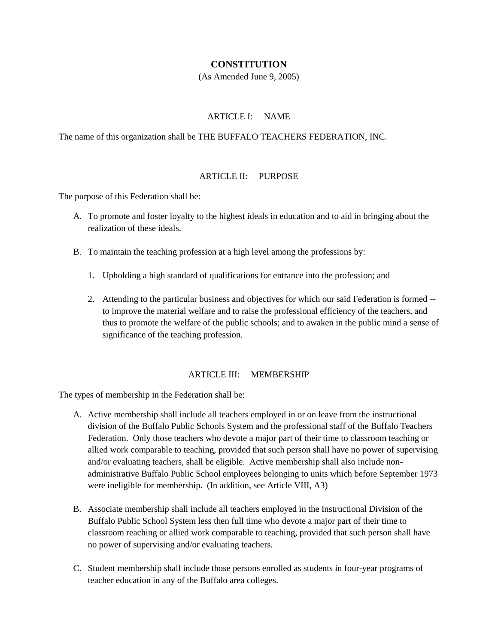# **CONSTITUTION**

(As Amended June 9, 2005)

## ARTICLE I: NAME

The name of this organization shall be THE BUFFALO TEACHERS FEDERATION, INC.

## ARTICLE II: PURPOSE

The purpose of this Federation shall be:

- A. To promote and foster loyalty to the highest ideals in education and to aid in bringing about the realization of these ideals.
- B. To maintain the teaching profession at a high level among the professions by:
	- 1. Upholding a high standard of qualifications for entrance into the profession; and
	- 2. Attending to the particular business and objectives for which our said Federation is formed to improve the material welfare and to raise the professional efficiency of the teachers, and thus to promote the welfare of the public schools; and to awaken in the public mind a sense of significance of the teaching profession.

## ARTICLE III: MEMBERSHIP

The types of membership in the Federation shall be:

- A. Active membership shall include all teachers employed in or on leave from the instructional division of the Buffalo Public Schools System and the professional staff of the Buffalo Teachers Federation. Only those teachers who devote a major part of their time to classroom teaching or allied work comparable to teaching, provided that such person shall have no power of supervising and/or evaluating teachers, shall be eligible. Active membership shall also include nonadministrative Buffalo Public School employees belonging to units which before September 1973 were ineligible for membership. (In addition, see Article VIII, A3)
- B. Associate membership shall include all teachers employed in the Instructional Division of the Buffalo Public School System less then full time who devote a major part of their time to classroom reaching or allied work comparable to teaching, provided that such person shall have no power of supervising and/or evaluating teachers.
- C. Student membership shall include those persons enrolled as students in four-year programs of teacher education in any of the Buffalo area colleges.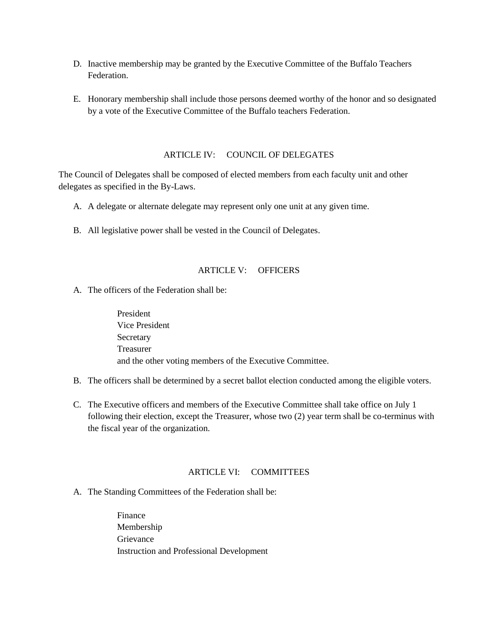- D. Inactive membership may be granted by the Executive Committee of the Buffalo Teachers Federation.
- E. Honorary membership shall include those persons deemed worthy of the honor and so designated by a vote of the Executive Committee of the Buffalo teachers Federation.

## ARTICLE IV: COUNCIL OF DELEGATES

The Council of Delegates shall be composed of elected members from each faculty unit and other delegates as specified in the By-Laws.

- A. A delegate or alternate delegate may represent only one unit at any given time.
- B. All legislative power shall be vested in the Council of Delegates.

# ARTICLE V: OFFICERS

A. The officers of the Federation shall be:

President Vice President Secretary Treasurer and the other voting members of the Executive Committee.

- B. The officers shall be determined by a secret ballot election conducted among the eligible voters.
- C. The Executive officers and members of the Executive Committee shall take office on July 1 following their election, except the Treasurer, whose two (2) year term shall be co-terminus with the fiscal year of the organization.

# ARTICLE VI: COMMITTEES

A. The Standing Committees of the Federation shall be:

Finance Membership Grievance Instruction and Professional Development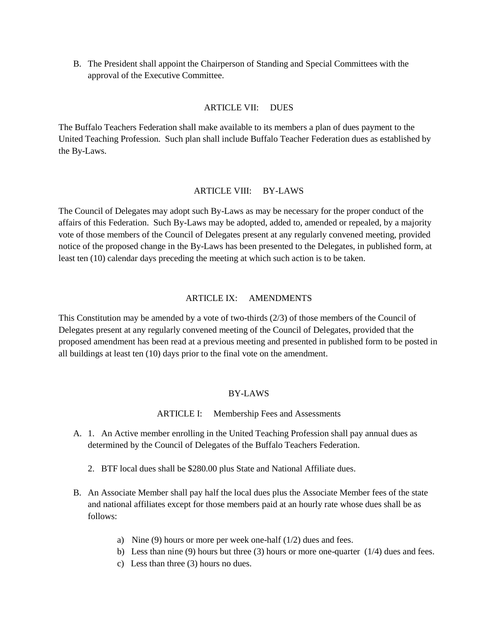B. The President shall appoint the Chairperson of Standing and Special Committees with the approval of the Executive Committee.

## ARTICLE VII: DUES

The Buffalo Teachers Federation shall make available to its members a plan of dues payment to the United Teaching Profession. Such plan shall include Buffalo Teacher Federation dues as established by the By-Laws.

### ARTICLE VIII: BY-LAWS

The Council of Delegates may adopt such By-Laws as may be necessary for the proper conduct of the affairs of this Federation. Such By-Laws may be adopted, added to, amended or repealed, by a majority vote of those members of the Council of Delegates present at any regularly convened meeting, provided notice of the proposed change in the By-Laws has been presented to the Delegates, in published form, at least ten (10) calendar days preceding the meeting at which such action is to be taken.

#### ARTICLE IX: AMENDMENTS

This Constitution may be amended by a vote of two-thirds (2/3) of those members of the Council of Delegates present at any regularly convened meeting of the Council of Delegates, provided that the proposed amendment has been read at a previous meeting and presented in published form to be posted in all buildings at least ten (10) days prior to the final vote on the amendment.

### BY-LAWS

### ARTICLE I: Membership Fees and Assessments

- A. 1. An Active member enrolling in the United Teaching Profession shall pay annual dues as determined by the Council of Delegates of the Buffalo Teachers Federation.
	- 2. BTF local dues shall be \$280.00 plus State and National Affiliate dues.
- B. An Associate Member shall pay half the local dues plus the Associate Member fees of the state and national affiliates except for those members paid at an hourly rate whose dues shall be as follows:
	- a) Nine (9) hours or more per week one-half (1/2) dues and fees.
	- b) Less than nine (9) hours but three (3) hours or more one-quarter  $(1/4)$  dues and fees.
	- c) Less than three (3) hours no dues.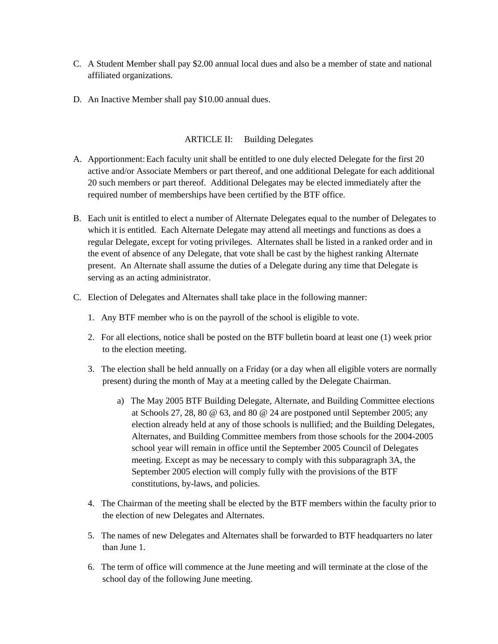- C. A Student Member shall pay \$2.00 annual local dues and also be a member of state and national affiliated organizations.
- D. An Inactive Member shall pay \$10.00 annual dues.

## ARTICLE II: Building Delegates

- A. Apportionment:Each faculty unit shall be entitled to one duly elected Delegate for the first 20 active and/or Associate Members or part thereof, and one additional Delegate for each additional 20 such members or part thereof. Additional Delegates may be elected immediately after the required number of memberships have been certified by the BTF office.
- B. Each unit is entitled to elect a number of Alternate Delegates equal to the number of Delegates to which it is entitled. Each Alternate Delegate may attend all meetings and functions as does a regular Delegate, except for voting privileges. Alternates shall be listed in a ranked order and in the event of absence of any Delegate, that vote shall be cast by the highest ranking Alternate present. An Alternate shall assume the duties of a Delegate during any time that Delegate is serving as an acting administrator.
- C. Election of Delegates and Alternates shall take place in the following manner:
	- 1. Any BTF member who is on the payroll of the school is eligible to vote.
	- 2. For all elections, notice shall be posted on the BTF bulletin board at least one (1) week prior to the election meeting.
	- 3. The election shall be held annually on a Friday (or a day when all eligible voters are normally present) during the month of May at a meeting called by the Delegate Chairman.
		- a) The May 2005 BTF Building Delegate, Alternate, and Building Committee elections at Schools 27, 28, 80 @ 63, and 80 @ 24 are postponed until September 2005; any election already held at any of those schools is nullified; and the Building Delegates, Alternates, and Building Committee members from those schools for the 2004-2005 school year will remain in office until the September 2005 Council of Delegates meeting. Except as may be necessary to comply with this subparagraph 3A, the September 2005 election will comply fully with the provisions of the BTF constitutions, by-laws, and policies.
	- 4. The Chairman of the meeting shall be elected by the BTF members within the faculty prior to the election of new Delegates and Alternates.
	- 5. The names of new Delegates and Alternates shall be forwarded to BTF headquarters no later than June 1.
	- 6. The term of office will commence at the June meeting and will terminate at the close of the school day of the following June meeting.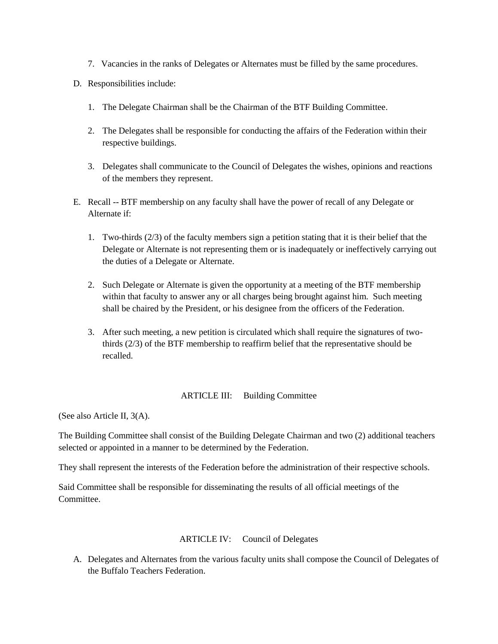- 7. Vacancies in the ranks of Delegates or Alternates must be filled by the same procedures.
- D. Responsibilities include:
	- 1. The Delegate Chairman shall be the Chairman of the BTF Building Committee.
	- 2. The Delegates shall be responsible for conducting the affairs of the Federation within their respective buildings.
	- 3. Delegates shall communicate to the Council of Delegates the wishes, opinions and reactions of the members they represent.
- E. Recall -- BTF membership on any faculty shall have the power of recall of any Delegate or Alternate if:
	- 1. Two-thirds (2/3) of the faculty members sign a petition stating that it is their belief that the Delegate or Alternate is not representing them or is inadequately or ineffectively carrying out the duties of a Delegate or Alternate.
	- 2. Such Delegate or Alternate is given the opportunity at a meeting of the BTF membership within that faculty to answer any or all charges being brought against him. Such meeting shall be chaired by the President, or his designee from the officers of the Federation.
	- 3. After such meeting, a new petition is circulated which shall require the signatures of twothirds (2/3) of the BTF membership to reaffirm belief that the representative should be recalled.

## ARTICLE III: Building Committee

(See also Article II, 3(A).

The Building Committee shall consist of the Building Delegate Chairman and two (2) additional teachers selected or appointed in a manner to be determined by the Federation.

They shall represent the interests of the Federation before the administration of their respective schools.

Said Committee shall be responsible for disseminating the results of all official meetings of the **Committee** 

# ARTICLE IV: Council of Delegates

A. Delegates and Alternates from the various faculty units shall compose the Council of Delegates of the Buffalo Teachers Federation.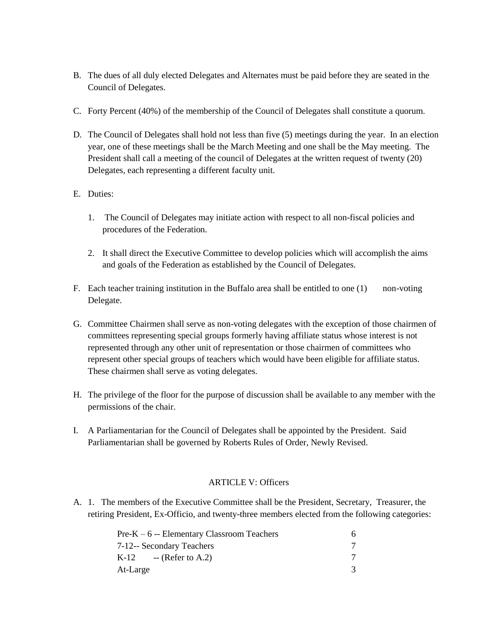- B. The dues of all duly elected Delegates and Alternates must be paid before they are seated in the Council of Delegates.
- C. Forty Percent (40%) of the membership of the Council of Delegates shall constitute a quorum.
- D. The Council of Delegates shall hold not less than five (5) meetings during the year. In an election year, one of these meetings shall be the March Meeting and one shall be the May meeting. The President shall call a meeting of the council of Delegates at the written request of twenty (20) Delegates, each representing a different faculty unit.
- E. Duties:
	- 1. The Council of Delegates may initiate action with respect to all non-fiscal policies and procedures of the Federation.
	- 2. It shall direct the Executive Committee to develop policies which will accomplish the aims and goals of the Federation as established by the Council of Delegates.
- F. Each teacher training institution in the Buffalo area shall be entitled to one (1) non-voting Delegate.
- G. Committee Chairmen shall serve as non-voting delegates with the exception of those chairmen of committees representing special groups formerly having affiliate status whose interest is not represented through any other unit of representation or those chairmen of committees who represent other special groups of teachers which would have been eligible for affiliate status. These chairmen shall serve as voting delegates.
- H. The privilege of the floor for the purpose of discussion shall be available to any member with the permissions of the chair.
- I. A Parliamentarian for the Council of Delegates shall be appointed by the President. Said Parliamentarian shall be governed by Roberts Rules of Order, Newly Revised.

## ARTICLE V: Officers

A. 1. The members of the Executive Committee shall be the President, Secretary, Treasurer, the retiring President, Ex-Officio, and twenty-three members elected from the following categories:

| $Pre-K - 6$ -- Elementary Classroom Teachers |  |
|----------------------------------------------|--|
| 7-12-- Secondary Teachers                    |  |
| $K-12$ -- (Refer to A.2)                     |  |
| At-Large                                     |  |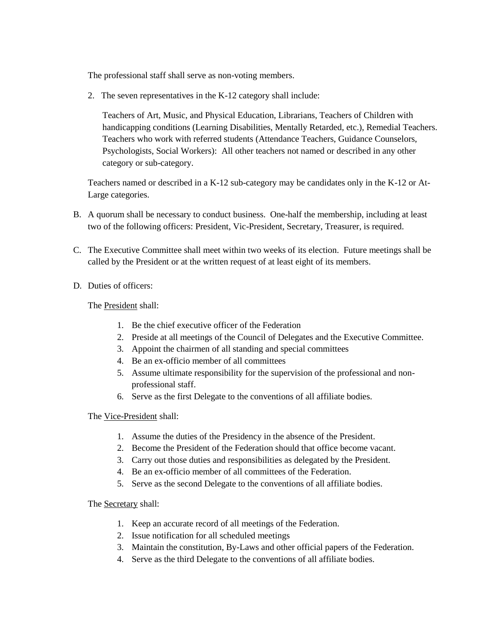The professional staff shall serve as non-voting members.

2. The seven representatives in the K-12 category shall include:

Teachers of Art, Music, and Physical Education, Librarians, Teachers of Children with handicapping conditions (Learning Disabilities, Mentally Retarded, etc.), Remedial Teachers. Teachers who work with referred students (Attendance Teachers, Guidance Counselors, Psychologists, Social Workers): All other teachers not named or described in any other category or sub-category.

Teachers named or described in a K-12 sub-category may be candidates only in the K-12 or At-Large categories.

- B. A quorum shall be necessary to conduct business. One-half the membership, including at least two of the following officers: President, Vic-President, Secretary, Treasurer, is required.
- C. The Executive Committee shall meet within two weeks of its election. Future meetings shall be called by the President or at the written request of at least eight of its members.
- D. Duties of officers:

The President shall:

- 1. Be the chief executive officer of the Federation
- 2. Preside at all meetings of the Council of Delegates and the Executive Committee.
- 3. Appoint the chairmen of all standing and special committees
- 4. Be an ex-officio member of all committees
- 5. Assume ultimate responsibility for the supervision of the professional and nonprofessional staff.
- 6. Serve as the first Delegate to the conventions of all affiliate bodies.

The Vice-President shall:

- 1. Assume the duties of the Presidency in the absence of the President.
- 2. Become the President of the Federation should that office become vacant.
- 3. Carry out those duties and responsibilities as delegated by the President.
- 4. Be an ex-officio member of all committees of the Federation.
- 5. Serve as the second Delegate to the conventions of all affiliate bodies.

The Secretary shall:

- 1. Keep an accurate record of all meetings of the Federation.
- 2. Issue notification for all scheduled meetings
- 3. Maintain the constitution, By-Laws and other official papers of the Federation.
- 4. Serve as the third Delegate to the conventions of all affiliate bodies.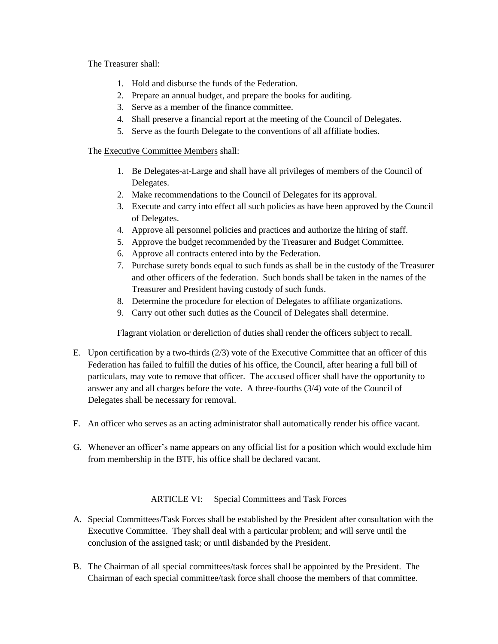The Treasurer shall:

- 1. Hold and disburse the funds of the Federation.
- 2. Prepare an annual budget, and prepare the books for auditing.
- 3. Serve as a member of the finance committee.
- 4. Shall preserve a financial report at the meeting of the Council of Delegates.
- 5. Serve as the fourth Delegate to the conventions of all affiliate bodies.

The Executive Committee Members shall:

- 1. Be Delegates-at-Large and shall have all privileges of members of the Council of Delegates.
- 2. Make recommendations to the Council of Delegates for its approval.
- 3. Execute and carry into effect all such policies as have been approved by the Council of Delegates.
- 4. Approve all personnel policies and practices and authorize the hiring of staff.
- 5. Approve the budget recommended by the Treasurer and Budget Committee.
- 6. Approve all contracts entered into by the Federation.
- 7. Purchase surety bonds equal to such funds as shall be in the custody of the Treasurer and other officers of the federation. Such bonds shall be taken in the names of the Treasurer and President having custody of such funds.
- 8. Determine the procedure for election of Delegates to affiliate organizations.
- 9. Carry out other such duties as the Council of Delegates shall determine.

Flagrant violation or dereliction of duties shall render the officers subject to recall.

- E. Upon certification by a two-thirds (2/3) vote of the Executive Committee that an officer of this Federation has failed to fulfill the duties of his office, the Council, after hearing a full bill of particulars, may vote to remove that officer. The accused officer shall have the opportunity to answer any and all charges before the vote. A three-fourths (3/4) vote of the Council of Delegates shall be necessary for removal.
- F. An officer who serves as an acting administrator shall automatically render his office vacant.
- G. Whenever an officer's name appears on any official list for a position which would exclude him from membership in the BTF, his office shall be declared vacant.

ARTICLE VI: Special Committees and Task Forces

- A. Special Committees/Task Forces shall be established by the President after consultation with the Executive Committee. They shall deal with a particular problem; and will serve until the conclusion of the assigned task; or until disbanded by the President.
- B. The Chairman of all special committees/task forces shall be appointed by the President. The Chairman of each special committee/task force shall choose the members of that committee.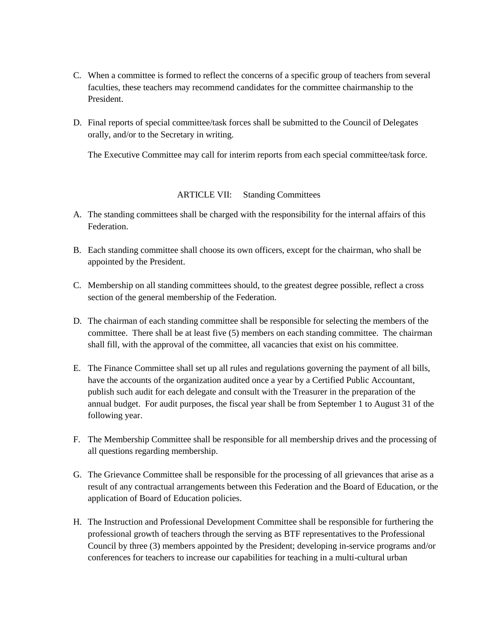- C. When a committee is formed to reflect the concerns of a specific group of teachers from several faculties, these teachers may recommend candidates for the committee chairmanship to the President.
- D. Final reports of special committee/task forces shall be submitted to the Council of Delegates orally, and/or to the Secretary in writing.

The Executive Committee may call for interim reports from each special committee/task force.

## ARTICLE VII: Standing Committees

- A. The standing committees shall be charged with the responsibility for the internal affairs of this Federation.
- B. Each standing committee shall choose its own officers, except for the chairman, who shall be appointed by the President.
- C. Membership on all standing committees should, to the greatest degree possible, reflect a cross section of the general membership of the Federation.
- D. The chairman of each standing committee shall be responsible for selecting the members of the committee. There shall be at least five (5) members on each standing committee. The chairman shall fill, with the approval of the committee, all vacancies that exist on his committee.
- E. The Finance Committee shall set up all rules and regulations governing the payment of all bills, have the accounts of the organization audited once a year by a Certified Public Accountant, publish such audit for each delegate and consult with the Treasurer in the preparation of the annual budget. For audit purposes, the fiscal year shall be from September 1 to August 31 of the following year.
- F. The Membership Committee shall be responsible for all membership drives and the processing of all questions regarding membership.
- G. The Grievance Committee shall be responsible for the processing of all grievances that arise as a result of any contractual arrangements between this Federation and the Board of Education, or the application of Board of Education policies.
- H. The Instruction and Professional Development Committee shall be responsible for furthering the professional growth of teachers through the serving as BTF representatives to the Professional Council by three (3) members appointed by the President; developing in-service programs and/or conferences for teachers to increase our capabilities for teaching in a multi-cultural urban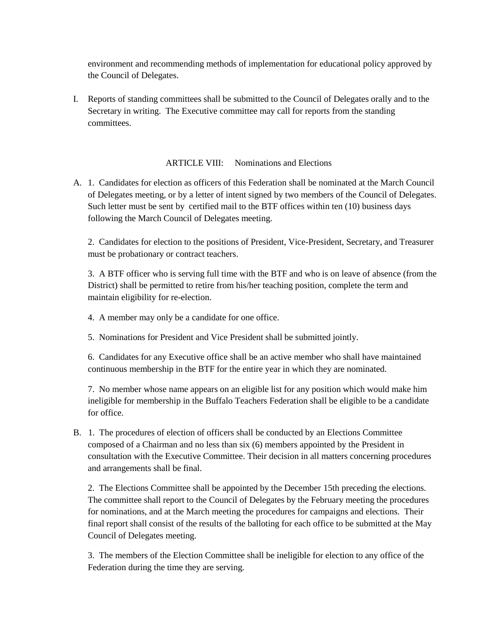environment and recommending methods of implementation for educational policy approved by the Council of Delegates.

I. Reports of standing committees shall be submitted to the Council of Delegates orally and to the Secretary in writing. The Executive committee may call for reports from the standing committees.

ARTICLE VIII: Nominations and Elections

A. 1. Candidates for election as officers of this Federation shall be nominated at the March Council of Delegates meeting, or by a letter of intent signed by two members of the Council of Delegates. Such letter must be sent by certified mail to the BTF offices within ten (10) business days following the March Council of Delegates meeting.

2. Candidates for election to the positions of President, Vice-President, Secretary, and Treasurer must be probationary or contract teachers.

3. A BTF officer who is serving full time with the BTF and who is on leave of absence (from the District) shall be permitted to retire from his/her teaching position, complete the term and maintain eligibility for re-election.

- 4. A member may only be a candidate for one office.
- 5. Nominations for President and Vice President shall be submitted jointly.

6. Candidates for any Executive office shall be an active member who shall have maintained continuous membership in the BTF for the entire year in which they are nominated.

7. No member whose name appears on an eligible list for any position which would make him ineligible for membership in the Buffalo Teachers Federation shall be eligible to be a candidate for office.

B. 1. The procedures of election of officers shall be conducted by an Elections Committee composed of a Chairman and no less than six (6) members appointed by the President in consultation with the Executive Committee. Their decision in all matters concerning procedures and arrangements shall be final.

2. The Elections Committee shall be appointed by the December 15th preceding the elections. The committee shall report to the Council of Delegates by the February meeting the procedures for nominations, and at the March meeting the procedures for campaigns and elections. Their final report shall consist of the results of the balloting for each office to be submitted at the May Council of Delegates meeting.

3. The members of the Election Committee shall be ineligible for election to any office of the Federation during the time they are serving.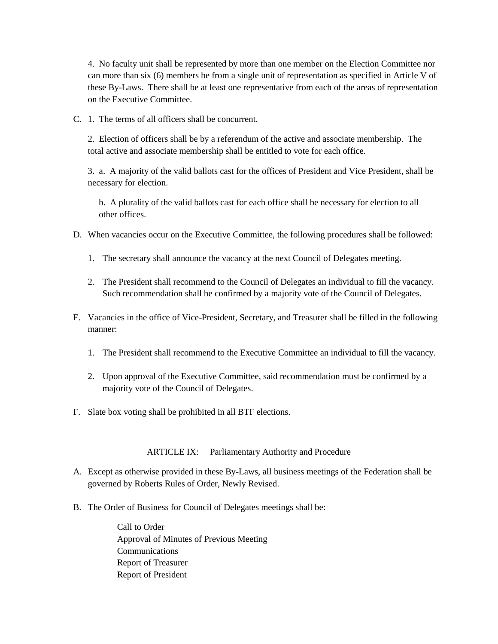4. No faculty unit shall be represented by more than one member on the Election Committee nor can more than six (6) members be from a single unit of representation as specified in Article V of these By-Laws. There shall be at least one representative from each of the areas of representation on the Executive Committee.

C. 1. The terms of all officers shall be concurrent.

2. Election of officers shall be by a referendum of the active and associate membership. The total active and associate membership shall be entitled to vote for each office.

3. a. A majority of the valid ballots cast for the offices of President and Vice President, shall be necessary for election.

b. A plurality of the valid ballots cast for each office shall be necessary for election to all other offices.

- D. When vacancies occur on the Executive Committee, the following procedures shall be followed:
	- 1. The secretary shall announce the vacancy at the next Council of Delegates meeting.
	- 2. The President shall recommend to the Council of Delegates an individual to fill the vacancy. Such recommendation shall be confirmed by a majority vote of the Council of Delegates.
- E. Vacancies in the office of Vice-President, Secretary, and Treasurer shall be filled in the following manner:
	- 1. The President shall recommend to the Executive Committee an individual to fill the vacancy.
	- 2. Upon approval of the Executive Committee, said recommendation must be confirmed by a majority vote of the Council of Delegates.
- F. Slate box voting shall be prohibited in all BTF elections.

## ARTICLE IX: Parliamentary Authority and Procedure

- A. Except as otherwise provided in these By-Laws, all business meetings of the Federation shall be governed by Roberts Rules of Order, Newly Revised.
- B. The Order of Business for Council of Delegates meetings shall be:

Call to Order Approval of Minutes of Previous Meeting Communications Report of Treasurer Report of President